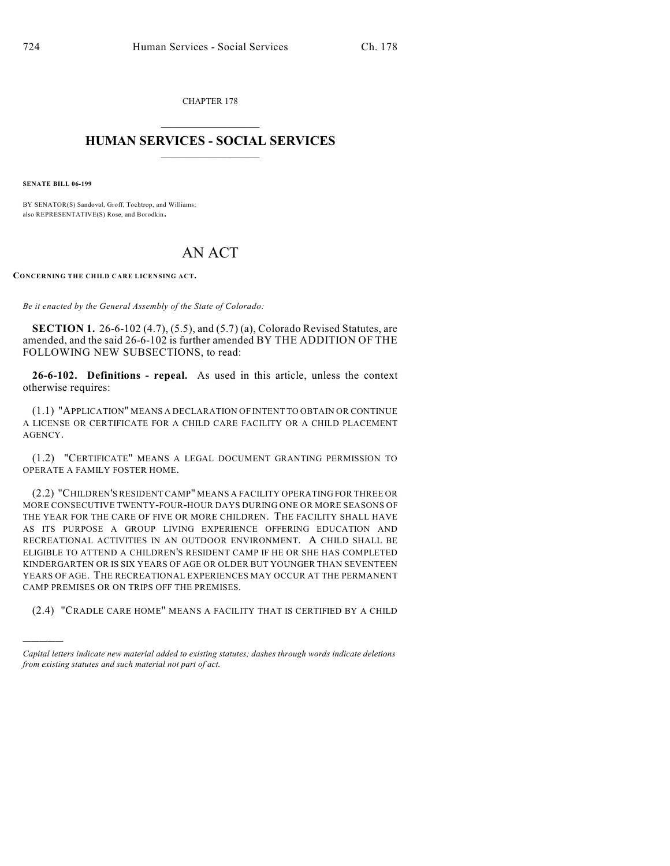CHAPTER 178  $\mathcal{L}_\text{max}$  . The set of the set of the set of the set of the set of the set of the set of the set of the set of the set of the set of the set of the set of the set of the set of the set of the set of the set of the set

## **HUMAN SERVICES - SOCIAL SERVICES**  $\frac{1}{2}$  ,  $\frac{1}{2}$  ,  $\frac{1}{2}$  ,  $\frac{1}{2}$  ,  $\frac{1}{2}$  ,  $\frac{1}{2}$  ,  $\frac{1}{2}$

**SENATE BILL 06-199**

)))))

BY SENATOR(S) Sandoval, Groff, Tochtrop, and Williams; also REPRESENTATIVE(S) Rose, and Borodkin.

## AN ACT

**CONCERNING THE CHILD CARE LICENSING ACT.**

*Be it enacted by the General Assembly of the State of Colorado:*

**SECTION 1.** 26-6-102 (4.7), (5.5), and (5.7) (a), Colorado Revised Statutes, are amended, and the said 26-6-102 is further amended BY THE ADDITION OF THE FOLLOWING NEW SUBSECTIONS, to read:

**26-6-102. Definitions - repeal.** As used in this article, unless the context otherwise requires:

(1.1) "APPLICATION" MEANS A DECLARATION OF INTENT TO OBTAIN OR CONTINUE A LICENSE OR CERTIFICATE FOR A CHILD CARE FACILITY OR A CHILD PLACEMENT AGENCY.

(1.2) "CERTIFICATE" MEANS A LEGAL DOCUMENT GRANTING PERMISSION TO OPERATE A FAMILY FOSTER HOME.

(2.2) "CHILDREN'S RESIDENT CAMP" MEANS A FACILITY OPERATING FOR THREE OR MORE CONSECUTIVE TWENTY-FOUR-HOUR DAYS DURING ONE OR MORE SEASONS OF THE YEAR FOR THE CARE OF FIVE OR MORE CHILDREN. THE FACILITY SHALL HAVE AS ITS PURPOSE A GROUP LIVING EXPERIENCE OFFERING EDUCATION AND RECREATIONAL ACTIVITIES IN AN OUTDOOR ENVIRONMENT. A CHILD SHALL BE ELIGIBLE TO ATTEND A CHILDREN'S RESIDENT CAMP IF HE OR SHE HAS COMPLETED KINDERGARTEN OR IS SIX YEARS OF AGE OR OLDER BUT YOUNGER THAN SEVENTEEN YEARS OF AGE. THE RECREATIONAL EXPERIENCES MAY OCCUR AT THE PERMANENT CAMP PREMISES OR ON TRIPS OFF THE PREMISES.

(2.4) "CRADLE CARE HOME" MEANS A FACILITY THAT IS CERTIFIED BY A CHILD

*Capital letters indicate new material added to existing statutes; dashes through words indicate deletions from existing statutes and such material not part of act.*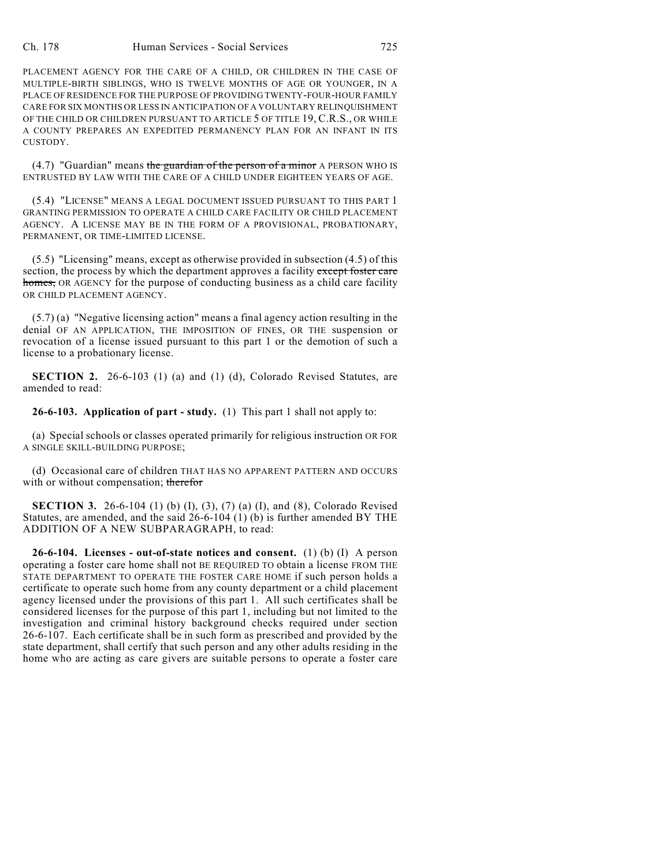PLACEMENT AGENCY FOR THE CARE OF A CHILD, OR CHILDREN IN THE CASE OF MULTIPLE-BIRTH SIBLINGS, WHO IS TWELVE MONTHS OF AGE OR YOUNGER, IN A PLACE OF RESIDENCE FOR THE PURPOSE OF PROVIDING TWENTY-FOUR-HOUR FAMILY CARE FOR SIX MONTHS OR LESS IN ANTICIPATION OF A VOLUNTARY RELINQUISHMENT OF THE CHILD OR CHILDREN PURSUANT TO ARTICLE 5 OF TITLE 19, C.R.S., OR WHILE A COUNTY PREPARES AN EXPEDITED PERMANENCY PLAN FOR AN INFANT IN ITS CUSTODY.

 $(4.7)$  "Guardian" means the guardian of the person of a minor A PERSON WHO IS ENTRUSTED BY LAW WITH THE CARE OF A CHILD UNDER EIGHTEEN YEARS OF AGE.

(5.4) "LICENSE" MEANS A LEGAL DOCUMENT ISSUED PURSUANT TO THIS PART 1 GRANTING PERMISSION TO OPERATE A CHILD CARE FACILITY OR CHILD PLACEMENT AGENCY. A LICENSE MAY BE IN THE FORM OF A PROVISIONAL, PROBATIONARY, PERMANENT, OR TIME-LIMITED LICENSE.

(5.5) "Licensing" means, except as otherwise provided in subsection (4.5) of this section, the process by which the department approves a facility except foster care homes, OR AGENCY for the purpose of conducting business as a child care facility OR CHILD PLACEMENT AGENCY.

(5.7) (a) "Negative licensing action" means a final agency action resulting in the denial OF AN APPLICATION, THE IMPOSITION OF FINES, OR THE suspension or revocation of a license issued pursuant to this part 1 or the demotion of such a license to a probationary license.

**SECTION 2.** 26-6-103 (1) (a) and (1) (d), Colorado Revised Statutes, are amended to read:

**26-6-103. Application of part - study.** (1) This part 1 shall not apply to:

(a) Special schools or classes operated primarily for religious instruction OR FOR A SINGLE SKILL-BUILDING PURPOSE;

(d) Occasional care of children THAT HAS NO APPARENT PATTERN AND OCCURS with or without compensation; therefor

**SECTION 3.** 26-6-104 (1) (b) (I), (3), (7) (a) (I), and (8), Colorado Revised Statutes, are amended, and the said 26-6-104 (1) (b) is further amended BY THE ADDITION OF A NEW SUBPARAGRAPH, to read:

**26-6-104. Licenses - out-of-state notices and consent.** (1) (b) (I) A person operating a foster care home shall not BE REQUIRED TO obtain a license FROM THE STATE DEPARTMENT TO OPERATE THE FOSTER CARE HOME if such person holds a certificate to operate such home from any county department or a child placement agency licensed under the provisions of this part 1. All such certificates shall be considered licenses for the purpose of this part 1, including but not limited to the investigation and criminal history background checks required under section 26-6-107. Each certificate shall be in such form as prescribed and provided by the state department, shall certify that such person and any other adults residing in the home who are acting as care givers are suitable persons to operate a foster care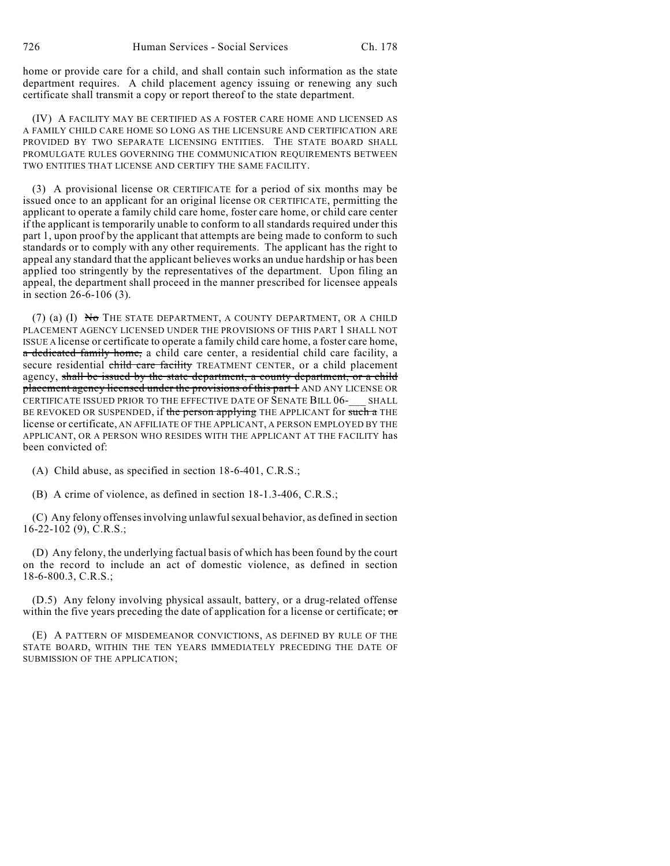home or provide care for a child, and shall contain such information as the state department requires. A child placement agency issuing or renewing any such certificate shall transmit a copy or report thereof to the state department.

(IV) A FACILITY MAY BE CERTIFIED AS A FOSTER CARE HOME AND LICENSED AS A FAMILY CHILD CARE HOME SO LONG AS THE LICENSURE AND CERTIFICATION ARE PROVIDED BY TWO SEPARATE LICENSING ENTITIES. THE STATE BOARD SHALL PROMULGATE RULES GOVERNING THE COMMUNICATION REQUIREMENTS BETWEEN TWO ENTITIES THAT LICENSE AND CERTIFY THE SAME FACILITY.

(3) A provisional license OR CERTIFICATE for a period of six months may be issued once to an applicant for an original license OR CERTIFICATE, permitting the applicant to operate a family child care home, foster care home, or child care center if the applicant is temporarily unable to conform to all standards required under this part 1, upon proof by the applicant that attempts are being made to conform to such standards or to comply with any other requirements. The applicant has the right to appeal any standard that the applicant believes works an undue hardship or has been applied too stringently by the representatives of the department. Upon filing an appeal, the department shall proceed in the manner prescribed for licensee appeals in section 26-6-106 (3).

(7) (a) (I) No THE STATE DEPARTMENT, A COUNTY DEPARTMENT, OR A CHILD PLACEMENT AGENCY LICENSED UNDER THE PROVISIONS OF THIS PART 1 SHALL NOT ISSUE A license or certificate to operate a family child care home, a foster care home, a dedicated family home, a child care center, a residential child care facility, a secure residential child care facility TREATMENT CENTER, or a child placement agency, shall be issued by the state department, a county department, or a child placement agency licensed under the provisions of this part 1 AND ANY LICENSE OR CERTIFICATE ISSUED PRIOR TO THE EFFECTIVE DATE OF SENATE BILL 06- SHALL BE REVOKED OR SUSPENDED, if the person applying THE APPLICANT for such a THE license or certificate, AN AFFILIATE OF THE APPLICANT, A PERSON EMPLOYED BY THE APPLICANT, OR A PERSON WHO RESIDES WITH THE APPLICANT AT THE FACILITY has been convicted of:

(A) Child abuse, as specified in section 18-6-401, C.R.S.;

(B) A crime of violence, as defined in section 18-1.3-406, C.R.S.;

(C) Any felony offenses involving unlawful sexual behavior, as defined in section 16-22-102 (9), C.R.S.;

(D) Any felony, the underlying factual basis of which has been found by the court on the record to include an act of domestic violence, as defined in section 18-6-800.3, C.R.S.;

(D.5) Any felony involving physical assault, battery, or a drug-related offense within the five years preceding the date of application for a license or certificate;  $\sigma$ 

(E) A PATTERN OF MISDEMEANOR CONVICTIONS, AS DEFINED BY RULE OF THE STATE BOARD, WITHIN THE TEN YEARS IMMEDIATELY PRECEDING THE DATE OF SUBMISSION OF THE APPLICATION;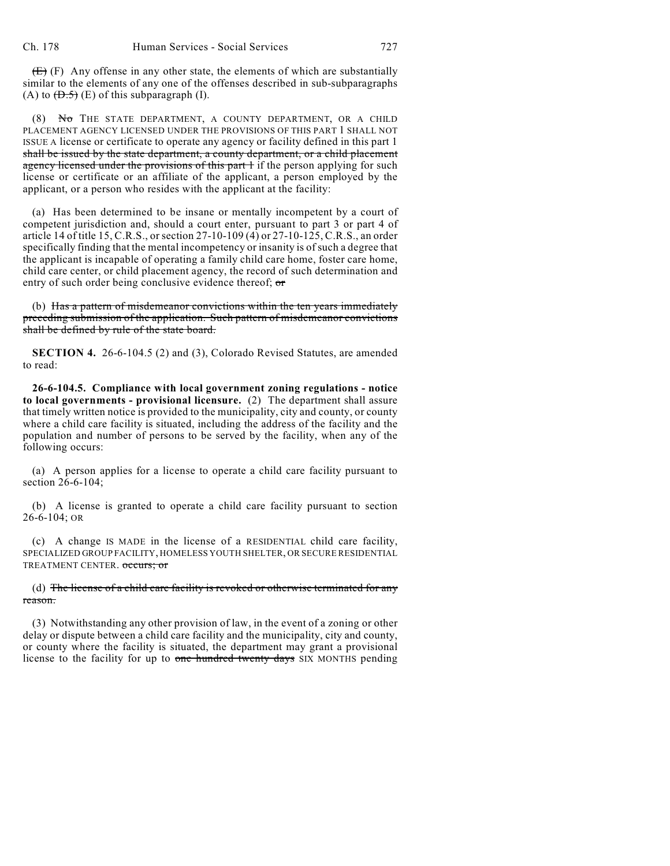$(E)$  (F) Any offense in any other state, the elements of which are substantially similar to the elements of any one of the offenses described in sub-subparagraphs (A) to  $(\overline{D.5})$  (E) of this subparagraph (I).

(8) No THE STATE DEPARTMENT, A COUNTY DEPARTMENT, OR A CHILD PLACEMENT AGENCY LICENSED UNDER THE PROVISIONS OF THIS PART 1 SHALL NOT ISSUE A license or certificate to operate any agency or facility defined in this part 1 shall be issued by the state department, a county department, or a child placement agency licensed under the provisions of this part 1 if the person applying for such license or certificate or an affiliate of the applicant, a person employed by the applicant, or a person who resides with the applicant at the facility:

(a) Has been determined to be insane or mentally incompetent by a court of competent jurisdiction and, should a court enter, pursuant to part 3 or part 4 of article 14 of title 15, C.R.S., or section 27-10-109 (4) or 27-10-125, C.R.S., an order specifically finding that the mental incompetency or insanity is of such a degree that the applicant is incapable of operating a family child care home, foster care home, child care center, or child placement agency, the record of such determination and entry of such order being conclusive evidence thereof; or

(b) Has a pattern of misdemeanor convictions within the ten years immediately preceding submission of the application. Such pattern of misdemeanor convictions shall be defined by rule of the state board.

**SECTION 4.** 26-6-104.5 (2) and (3), Colorado Revised Statutes, are amended to read:

**26-6-104.5. Compliance with local government zoning regulations - notice to local governments - provisional licensure.** (2) The department shall assure that timely written notice is provided to the municipality, city and county, or county where a child care facility is situated, including the address of the facility and the population and number of persons to be served by the facility, when any of the following occurs:

(a) A person applies for a license to operate a child care facility pursuant to section 26-6-104;

(b) A license is granted to operate a child care facility pursuant to section 26-6-104; OR

(c) A change IS MADE in the license of a RESIDENTIAL child care facility, SPECIALIZED GROUP FACILITY, HOMELESS YOUTH SHELTER, OR SECURE RESIDENTIAL TREATMENT CENTER. occurs; or

## (d) The license of a child care facility is revoked or otherwise terminated for any reason.

(3) Notwithstanding any other provision of law, in the event of a zoning or other delay or dispute between a child care facility and the municipality, city and county, or county where the facility is situated, the department may grant a provisional license to the facility for up to one hundred twenty days SIX MONTHS pending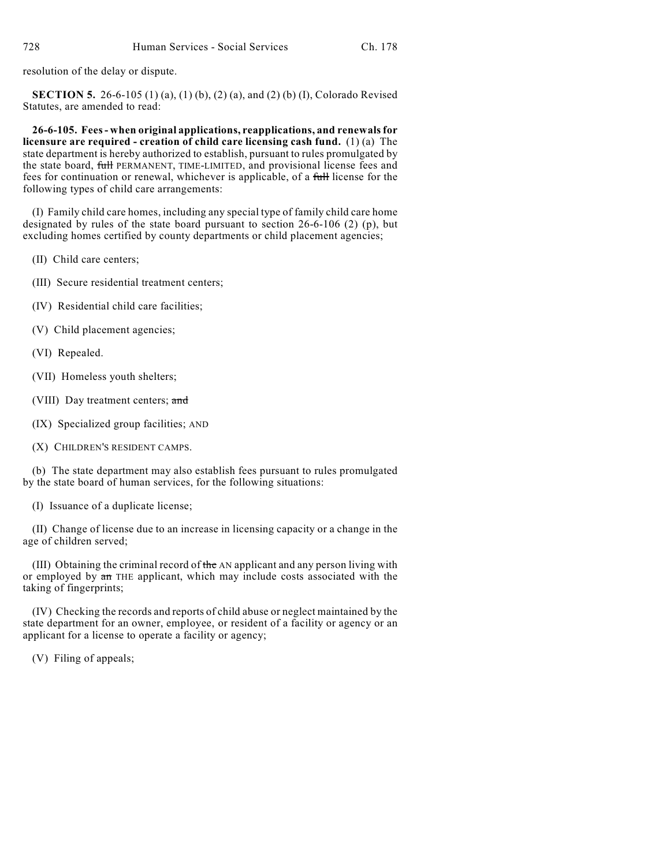resolution of the delay or dispute.

**SECTION 5.** 26-6-105 (1) (a), (1) (b), (2) (a), and (2) (b) (I), Colorado Revised Statutes, are amended to read:

**26-6-105. Fees- when original applications, reapplications, and renewals for licensure are required - creation of child care licensing cash fund.** (1) (a) The state department is hereby authorized to establish, pursuant to rules promulgated by the state board, full PERMANENT, TIME-LIMITED, and provisional license fees and fees for continuation or renewal, whichever is applicable, of a full license for the following types of child care arrangements:

(I) Family child care homes, including any special type of family child care home designated by rules of the state board pursuant to section 26-6-106 (2) (p), but excluding homes certified by county departments or child placement agencies;

- (II) Child care centers;
- (III) Secure residential treatment centers;
- (IV) Residential child care facilities;
- (V) Child placement agencies;
- (VI) Repealed.
- (VII) Homeless youth shelters;
- (VIII) Day treatment centers; and
- (IX) Specialized group facilities; AND
- (X) CHILDREN'S RESIDENT CAMPS.

(b) The state department may also establish fees pursuant to rules promulgated by the state board of human services, for the following situations:

(I) Issuance of a duplicate license;

(II) Change of license due to an increase in licensing capacity or a change in the age of children served;

(III) Obtaining the criminal record of the AN applicant and any person living with or employed by an THE applicant, which may include costs associated with the taking of fingerprints;

(IV) Checking the records and reports of child abuse or neglect maintained by the state department for an owner, employee, or resident of a facility or agency or an applicant for a license to operate a facility or agency;

(V) Filing of appeals;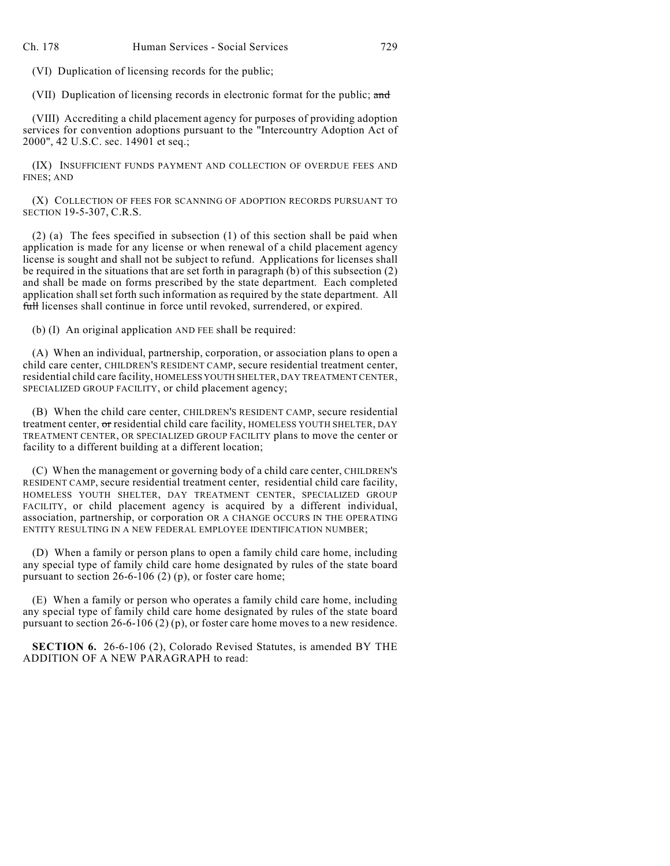(VI) Duplication of licensing records for the public;

(VII) Duplication of licensing records in electronic format for the public; and

(VIII) Accrediting a child placement agency for purposes of providing adoption services for convention adoptions pursuant to the "Intercountry Adoption Act of 2000", 42 U.S.C. sec. 14901 et seq.;

(IX) INSUFFICIENT FUNDS PAYMENT AND COLLECTION OF OVERDUE FEES AND FINES; AND

(X) COLLECTION OF FEES FOR SCANNING OF ADOPTION RECORDS PURSUANT TO SECTION 19-5-307, C.R.S.

(2) (a) The fees specified in subsection (1) of this section shall be paid when application is made for any license or when renewal of a child placement agency license is sought and shall not be subject to refund. Applications for licenses shall be required in the situations that are set forth in paragraph (b) of this subsection (2) and shall be made on forms prescribed by the state department. Each completed application shall set forth such information as required by the state department. All full licenses shall continue in force until revoked, surrendered, or expired.

(b) (I) An original application AND FEE shall be required:

(A) When an individual, partnership, corporation, or association plans to open a child care center, CHILDREN'S RESIDENT CAMP, secure residential treatment center, residential child care facility, HOMELESS YOUTH SHELTER, DAY TREATMENT CENTER, SPECIALIZED GROUP FACILITY, or child placement agency;

(B) When the child care center, CHILDREN'S RESIDENT CAMP, secure residential treatment center, or residential child care facility, HOMELESS YOUTH SHELTER, DAY TREATMENT CENTER, OR SPECIALIZED GROUP FACILITY plans to move the center or facility to a different building at a different location;

(C) When the management or governing body of a child care center, CHILDREN'S RESIDENT CAMP, secure residential treatment center, residential child care facility, HOMELESS YOUTH SHELTER, DAY TREATMENT CENTER, SPECIALIZED GROUP FACILITY, or child placement agency is acquired by a different individual, association, partnership, or corporation OR A CHANGE OCCURS IN THE OPERATING ENTITY RESULTING IN A NEW FEDERAL EMPLOYEE IDENTIFICATION NUMBER;

(D) When a family or person plans to open a family child care home, including any special type of family child care home designated by rules of the state board pursuant to section 26-6-106 (2) (p), or foster care home;

(E) When a family or person who operates a family child care home, including any special type of family child care home designated by rules of the state board pursuant to section 26-6-106 (2) (p), or foster care home moves to a new residence.

**SECTION 6.** 26-6-106 (2), Colorado Revised Statutes, is amended BY THE ADDITION OF A NEW PARAGRAPH to read: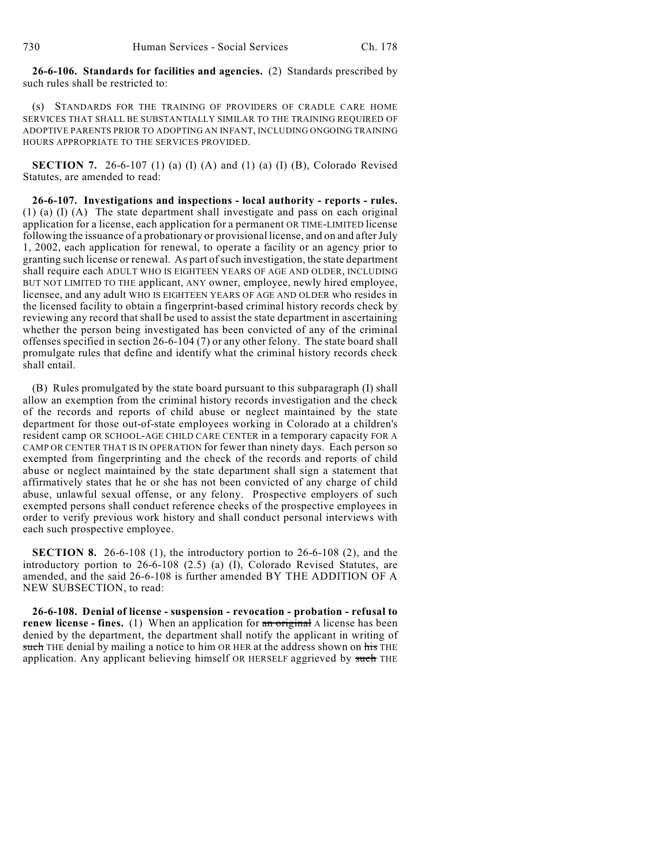**26-6-106. Standards for facilities and agencies.** (2) Standards prescribed by such rules shall be restricted to:

(s) STANDARDS FOR THE TRAINING OF PROVIDERS OF CRADLE CARE HOME SERVICES THAT SHALL BE SUBSTANTIALLY SIMILAR TO THE TRAINING REQUIRED OF ADOPTIVE PARENTS PRIOR TO ADOPTING AN INFANT, INCLUDING ONGOING TRAINING HOURS APPROPRIATE TO THE SERVICES PROVIDED.

**SECTION 7.** 26-6-107 (1) (a) (I) (A) and (1) (a) (I) (B), Colorado Revised Statutes, are amended to read:

**26-6-107. Investigations and inspections - local authority - reports - rules.** (1) (a) (I) (A) The state department shall investigate and pass on each original application for a license, each application for a permanent OR TIME-LIMITED license following the issuance of a probationary or provisional license, and on and after July 1, 2002, each application for renewal, to operate a facility or an agency prior to granting such license or renewal. As part of such investigation, the state department shall require each ADULT WHO IS EIGHTEEN YEARS OF AGE AND OLDER, INCLUDING BUT NOT LIMITED TO THE applicant, ANY owner, employee, newly hired employee, licensee, and any adult WHO IS EIGHTEEN YEARS OF AGE AND OLDER who resides in the licensed facility to obtain a fingerprint-based criminal history records check by reviewing any record that shall be used to assist the state department in ascertaining whether the person being investigated has been convicted of any of the criminal offenses specified in section 26-6-104 (7) or any other felony. The state board shall promulgate rules that define and identify what the criminal history records check shall entail.

(B) Rules promulgated by the state board pursuant to this subparagraph (I) shall allow an exemption from the criminal history records investigation and the check of the records and reports of child abuse or neglect maintained by the state department for those out-of-state employees working in Colorado at a children's resident camp OR SCHOOL-AGE CHILD CARE CENTER in a temporary capacity FOR A CAMP OR CENTER THAT IS IN OPERATION for fewer than ninety days. Each person so exempted from fingerprinting and the check of the records and reports of child abuse or neglect maintained by the state department shall sign a statement that affirmatively states that he or she has not been convicted of any charge of child abuse, unlawful sexual offense, or any felony. Prospective employers of such exempted persons shall conduct reference checks of the prospective employees in order to verify previous work history and shall conduct personal interviews with each such prospective employee.

**SECTION 8.** 26-6-108 (1), the introductory portion to 26-6-108 (2), and the introductory portion to 26-6-108 (2.5) (a) (I), Colorado Revised Statutes, are amended, and the said 26-6-108 is further amended BY THE ADDITION OF A NEW SUBSECTION, to read:

**26-6-108. Denial of license - suspension - revocation - probation - refusal to renew license - fines.** (1) When an application for an original A license has been denied by the department, the department shall notify the applicant in writing of such THE denial by mailing a notice to him OR HER at the address shown on his THE application. Any applicant believing himself OR HERSELF aggrieved by such THE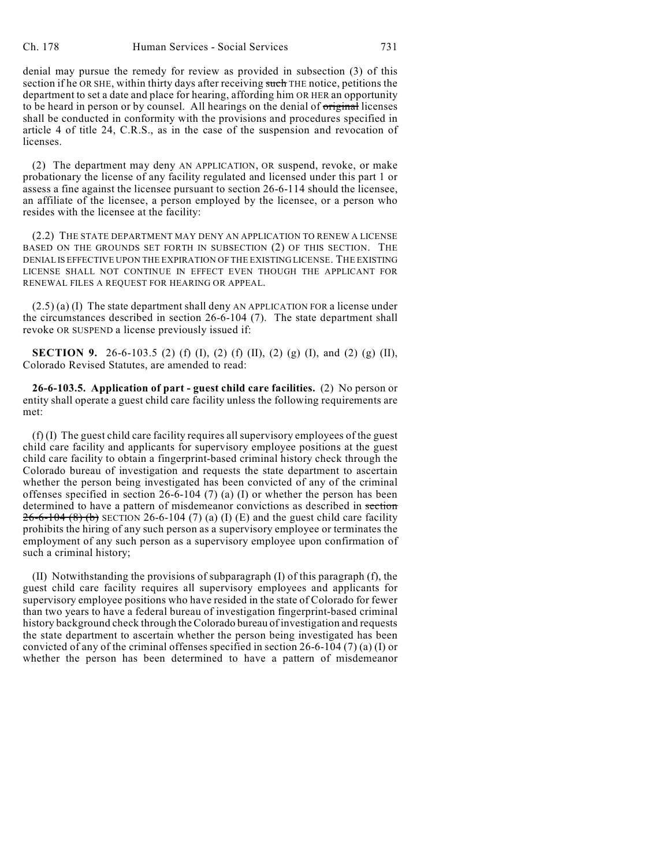denial may pursue the remedy for review as provided in subsection (3) of this section if he OR SHE, within thirty days after receiving such THE notice, petitions the department to set a date and place for hearing, affording him OR HER an opportunity to be heard in person or by counsel. All hearings on the denial of original licenses shall be conducted in conformity with the provisions and procedures specified in article 4 of title 24, C.R.S., as in the case of the suspension and revocation of licenses.

(2) The department may deny AN APPLICATION, OR suspend, revoke, or make probationary the license of any facility regulated and licensed under this part 1 or assess a fine against the licensee pursuant to section 26-6-114 should the licensee, an affiliate of the licensee, a person employed by the licensee, or a person who resides with the licensee at the facility:

(2.2) THE STATE DEPARTMENT MAY DENY AN APPLICATION TO RENEW A LICENSE BASED ON THE GROUNDS SET FORTH IN SUBSECTION (2) OF THIS SECTION. THE DENIAL IS EFFECTIVE UPON THE EXPIRATION OF THE EXISTING LICENSE. THE EXISTING LICENSE SHALL NOT CONTINUE IN EFFECT EVEN THOUGH THE APPLICANT FOR RENEWAL FILES A REQUEST FOR HEARING OR APPEAL.

(2.5) (a) (I) The state department shall deny AN APPLICATION FOR a license under the circumstances described in section 26-6-104 (7). The state department shall revoke OR SUSPEND a license previously issued if:

**SECTION 9.** 26-6-103.5 (2) (f) (I), (2) (f) (II), (2) (g) (I), and (2) (g) (II), Colorado Revised Statutes, are amended to read:

**26-6-103.5. Application of part - guest child care facilities.** (2) No person or entity shall operate a guest child care facility unless the following requirements are met:

(f) (I) The guest child care facility requires all supervisory employees of the guest child care facility and applicants for supervisory employee positions at the guest child care facility to obtain a fingerprint-based criminal history check through the Colorado bureau of investigation and requests the state department to ascertain whether the person being investigated has been convicted of any of the criminal offenses specified in section 26-6-104 (7) (a) (I) or whether the person has been determined to have a pattern of misdemeanor convictions as described in section  $26 - 6 - 104$  (8) (b) SECTION 26-6-104 (7) (a) (I) (E) and the guest child care facility prohibits the hiring of any such person as a supervisory employee or terminates the employment of any such person as a supervisory employee upon confirmation of such a criminal history;

(II) Notwithstanding the provisions of subparagraph (I) of this paragraph (f), the guest child care facility requires all supervisory employees and applicants for supervisory employee positions who have resided in the state of Colorado for fewer than two years to have a federal bureau of investigation fingerprint-based criminal history background check through the Colorado bureau of investigation and requests the state department to ascertain whether the person being investigated has been convicted of any of the criminal offenses specified in section 26-6-104 (7) (a) (I) or whether the person has been determined to have a pattern of misdemeanor